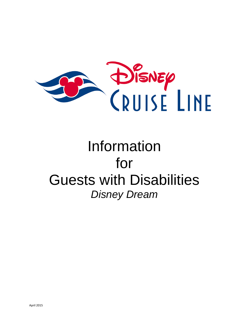

# Information for Guests with Disabilities *Disney Dream*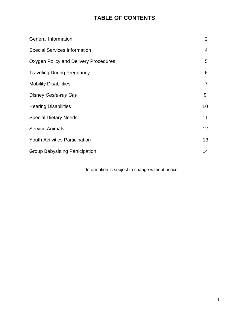# **TABLE OF CONTENTS**

| <b>General Information</b>             | $\overline{2}$  |
|----------------------------------------|-----------------|
| <b>Special Services Information</b>    | 4               |
| Oxygen Policy and Delivery Procedures  | 5               |
| <b>Traveling During Pregnancy</b>      | 6               |
| <b>Mobility Disabilities</b>           | $\overline{7}$  |
| Disney Castaway Cay                    | 9               |
| <b>Hearing Disabilities</b>            | 10              |
| <b>Special Dietary Needs</b>           | 11              |
| <b>Service Animals</b>                 | 12 <sup>2</sup> |
| <b>Youth Activities Participation</b>  | 13              |
| <b>Group Babysitting Participation</b> | 14              |

# Information is subject to change without notice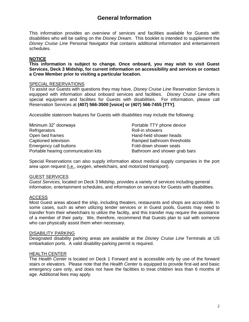# **General Information**

This information provides an overview of services and facilities available for Guests with disabilities who will be sailing on the *Disney Dream*. This booklet is intended to supplement the *Disney Cruise Line* Personal Navigator that contains additional information and entertainment schedules.

# **NOTICE**

**This information is subject to change. Once onboard, you may wish to visit Guest Services, Deck 3 Midship, for current information on accessibility and services or contact a Crew Member prior to visiting a particular location.**

# SPECIAL RESERVATIONS

To assist our Guests with questions they may have, *Disney Cruise Line* Reservation Services is equipped with information about onboard services and facilities. *Disney Cruise Line* offers special equipment and facilities for Guests with disabilities. For information, please call Reservation Services at **(407) 566-3500 [voice] or (407) 566-7455 [TTY]**.

Accessible stateroom features for Guests with disabilities may include the following:

| Minimum 32" doorways                | Portable TTY phone device     |
|-------------------------------------|-------------------------------|
| Refrigerators                       | Roll-in showers               |
| Open bed frames                     | Hand-held shower heads        |
| Captioned television                | Ramped bathroom thresholds    |
| Emergency call buttons              | Fold-down shower seats        |
| Portable hearing communication kits | Bathroom and shower grab bars |

Special Reservations can also supply information about medical supply companies in the port area upon request (i.e., oxygen, wheelchairs, and motorized transport).

# GUEST SERVICES

*Guest Services,* located on Deck 3 Midship, provides a variety of services including general information, entertainment schedules, and information on services for Guests with disabilities.

# ACCESS

Most Guest areas aboard the ship, including theaters, restaurants and shops are accessible. In some cases, such as when utilizing tender services or in Guest pools, Guests may need to transfer from their wheelchairs to utilize the facility, and this transfer may require the assistance of a member of their party. We, therefore, recommend that Guests plan to sail with someone who can physically assist them when necessary.

# DISABILITY PARKING

Designated disability parking areas are available at the *Disney Cruise Line* Terminals at US embarkation ports. A valid disability-parking permit is required.

# HEALTH CENTER

The *Health Center* is located on Deck 1 Forward and is accessible only by use of the forward stairs or elevators. Please note that the *Health Center* is equipped to provide first-aid and basic emergency care only, and does not have the facilities to treat children less than 6 months of age. Additional fees may apply.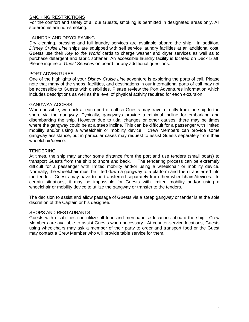# SMOKING RESTRICTIONS

For the comfort and safety of all our Guests, smoking is permitted in designated areas only. All staterooms are non-smoking.

# LAUNDRY AND DRYCLEANING

Dry cleaning, pressing and full laundry services are available aboard the ship. In addition*, Disney Cruise Line* ships are equipped with self service laundry facilities at an additional cost. Guests use their *Key to the World* cards to charge washer and dryer services as well as to purchase detergent and fabric softener. An accessible laundry facility is located on Deck 5 aft. Please inquire at *Guest Services* on board for any additional questions.

# PORT ADVENTURES

One of the highlights of your *Disney Cruise Line* adventure is exploring the ports of call. Please note that many of the shops, facilities, and destinations in our international ports of call may not be accessible to Guests with disabilities. Please review the Port Adventures information which includes descriptions as well as the level of physical activity required for each excursion.

# GANGWAY ACCESS

When possible, we dock at each port of call so Guests may travel directly from the ship to the shore via the gangway. Typically, gangways provide a minimal incline for embarking and disembarking the ship. However due to tidal changes or other causes, there may be times where the gangway could be at a steep incline. This can be difficult for a passenger with limited mobility and/or using a wheelchair or mobility device. Crew Members can provide some gangway assistance, but in particular cases may request to assist Guests separately from their wheelchair/device.

# **TENDERING**

At times, the ship may anchor some distance from the port and use tenders (small boats) to transport Guests from the ship to shore and back. The tendering process can be extremely difficult for a passenger with limited mobility and/or using a wheelchair or mobility device. Normally, the wheelchair must be lifted down a gangway to a platform and then transferred into the tender. Guests may have to be transferred separately from their wheelchairs/devices. In certain situations, it may be impossible for Guests with limited mobility and/or using a wheelchair or mobility device to utilize the gangway or transfer to the tenders.

The decision to assist and allow passage of Guests via a steep gangway or tender is at the sole discretion of the Captain or his designee.

# **SHOPS AND RESTAURANTS**

Guests with disabilities can utilize all food and merchandise locations aboard the ship. Crew Members are available to assist Guests when necessary. At counter-service locations, Guests using wheelchairs may ask a member of their party to order and transport food or the Guest may contact a Crew Member who will provide table service for them.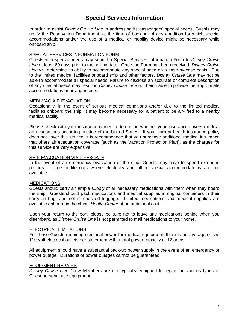# **Special Services Information**

In order to assist *Disney Cruise Line* in addressing its passengers' special needs, Guests may notify the Reservation Department, at the time of booking, of any condition for which special accommodations and/or the use of a medical or mobility device might be necessary while onboard ship.

# SPECIAL SERVICES INFORMATION FORM

Guests with special needs may submit a Special Services Information Form to *Disney Cruise Line* at least 60 days prior to the sailing date. Once the Form has been received, *Disney Cruise Line* will determine its ability to accommodate any special need on a case-by-case basis. Due to the limited medical facilities onboard ship and other factors, *Disney Cruise Line* may not be able to accommodate all special needs. Failure to disclose an accurate or complete description of any special needs may result in *Disney Cruise Line* not being able to provide the appropriate accommodations or arrangements.

# MEDI-VAC AIR EVACUATION

Occasionally, in the event of serious medical conditions and/or due to the limited medical facilities onboard the ship, it may become necessary for a patient to be air-lifted to a nearby medical facility.

Please check with your insurance carrier to determine whether your insurance covers medical air evacuations occurring outside of the United States. If your current health insurance policy does not cover this service, it is recommended that you purchase additional medical insurance that offers air evacuation coverage (such as the Vacation Protection Plan), as the charges for this service are very expensive.

# SHIP EVACUATION VIA LIFEBOATS

In the event of an emergency evacuation of the ship, Guests may have to spend extended periods of time in lifeboats where electricity and other special accommodations are not available.

# **MEDICATIONS**

Guests should carry an ample supply of all necessary medications with them when they board the ship. Guests should pack medications and medical supplies in original containers in their carry-on bag, and not in checked luggage. Limited medications and medical supplies are available onboard in the ships' *Health Center* at an additional cost.

Upon your return to the port, please be sure not to leave any medications behind when you disembark, as *Disney Cruise Line* is not permitted to mail medications to your home.

# ELECTRICAL LIMITATIONS

For those Guests requiring electrical power for medical equipment, there is an average of two 110-volt electrical outlets per stateroom with a total power capacity of 12 amps.

All equipment should have a substantial back-up power supply in the event of an emergency or power outage. Durations of power outages cannot be guaranteed.

# EQUIPMENT REPAIRS

*Disney Cruise Line* Crew Members are not typically equipped to repair the various types of Guest personal use equipment.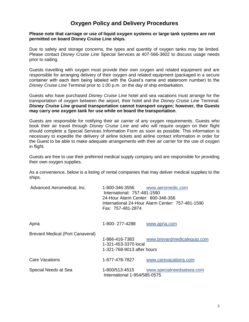# **Oxygen Policy and Delivery Procedures**

# **Please note that carriage or use of liquid oxygen systems or large tank systems are not permitted on board Disney Cruise Line ships.**

Due to safety and storage concerns, the types and quantity of oxygen tanks may be limited. Please contact *Disney Cruise Line* Special Services at 407-566-3602 to discuss usage needs prior to sailing.

Guests travelling with oxygen must provide their own oxygen and related equipment and are responsible for arranging delivery of their oxygen and related equipment (packaged in a secure container with each item being labeled with the Guest's name and stateroom number) to the *Disney Cruise Line* Terminal prior to 1:00 p.m. on the day of ship embarkation.

Guests who have purchased *Disney Cruise Line* hotel and sea vacations must arrange for the transportation of oxygen between the airport, their hotel and the *Disney Cruise Line* Terminal. *Disney Cruise Line* **ground transportation cannot transport oxygen; however, the Guests may carry one oxygen tank for use while on board the transportation**.

Guests are responsible for notifying their air carrier of any oxygen requirements. Guests who book their air travel through *Disney Cruise Line* and who will require oxygen on their flight should complete a Special Services Information Form as soon as possible. This information is necessary to expedite the delivery of airline tickets and airline contact information in order for the Guest to be able to make adequate arrangements with their air carrier for the use of oxygen in flight.

Guests are free to use their preferred medical supply company and are responsible for providing their own oxygen supplies.

As a convenience, below is a listing of rental companies that may deliver medical supplies to the ships.

| Advanced Aeromedical, Inc.              | 1-800-346-3556<br>International: 757-481-1590<br>24-Hour Alarm Center: 800-346-356<br>Fax: 757-481-2874 | www.aeromedic.com<br>International 24-Hour Alarm Center: 757-481-1590 |
|-----------------------------------------|---------------------------------------------------------------------------------------------------------|-----------------------------------------------------------------------|
| Apria                                   | 1-800-277-4288                                                                                          | www.apria.com                                                         |
| <b>Brevard Medical (Port Canaveral)</b> | 1-866-416-7383<br>1-321-453-3370 local<br>1-321-768-9013 after hours                                    | www.brevardmedicalequip.com                                           |
| Care Vacations                          | 1-877-478-7827                                                                                          | www.carevacations.com                                                 |
| Special Needs at Sea                    | 1-800/513-4515<br>International 1-954/585-0575                                                          | www.specialneedsatsea.com                                             |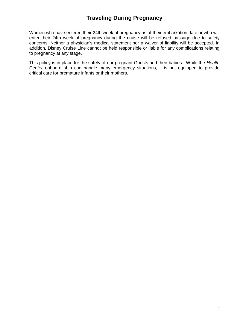# **Traveling During Pregnancy**

Women who have entered their 24th week of pregnancy as of their embarkation date or who will enter their 24th week of pregnancy during the cruise will be refused passage due to safety concerns. Neither a physician's medical statement nor a waiver of liability will be accepted. In addition, Disney Cruise Line cannot be held responsible or liable for any complications relating to pregnancy at any stage.

This policy is in place for the safety of our pregnant Guests and their babies. While the *Health Center* onboard ship can handle many emergency situations, it is not equipped to provide critical care for premature infants or their mothers.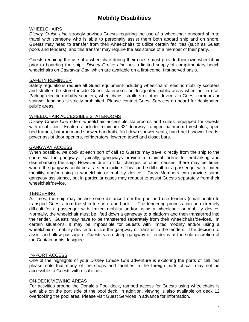# **Mobility Disabilities**

# **WHEELCHAIRS**

*Disney Cruise Line* strongly advises Guests requiring the use of a wheelchair onboard ship to travel with someone who is able to personally assist them both aboard ship and on shore. Guests may need to transfer from their wheelchairs to utilize certain facilities (such as Guest pools and tenders), and this transfer may require the assistance of a member of their party.

Guests requiring the use of a wheelchair during their cruise must provide their own wheelchair prior to boarding the ship. *Disney Cruise Line* has a limited supply of complimentary beach wheelchairs on *Castaway Cay*, which are available on a first-come, first-served basis.

# SAFETY REMINDER

Safety regulations require all Guest equipment-including wheelchairs, electric mobility scooters and strollers-be stored inside Guest staterooms or designated public areas when not in use. Parking electric mobility scooters, wheelchairs, strollers or other devices in Guest corridors or stairwell landings is strictly prohibited. Please contact Guest Services on board for designated public areas.

# WHEELCHAIR ACCESSIBLE STATEROOMS

*Disney Cruise Line* offers wheelchair accessible staterooms and suites, equipped for Guests with disabilities. Features include: minimum 32" doorway, ramped bathroom thresholds, open bed frames, bathroom and shower handrails, fold-down shower seats, hand-held shower heads, power assist door openers, refrigerators, lowered towel and closet bars.

# GANGWAY ACCESS

When possible, we dock at each port of call so Guests may travel directly from the ship to the shore via the gangway. Typically, gangways provide a minimal incline for embarking and disembarking the ship. However due to tidal changes or other causes, there may be times where the gangway could be at a steep incline. This can be difficult for a passenger with limited mobility and/or using a wheelchair or mobility device. Crew Members can provide some gangway assistance, but in particular cases may request to assist Guests separately from their wheelchair/device.

# **TENDERING**

At times, the ship may anchor some distance from the port and use tenders (small boats) to transport Guests from the ship to shore and back. The tendering process can be extremely difficult for a passenger with limited mobility and/or using a wheelchair or mobility device. Normally, the wheelchair must be lifted down a gangway to a platform and then transferred into the tender. Guests may have to be transferred separately from their wheelchairs/devices. In certain situations, it may be impossible for Guests with limited mobility and/or using a wheelchair or mobility device to utilize the gangway or transfer to the tenders. The decision to assist and allow passage of Guests via a steep gangway or tender is at the sole discretion of the Captain or his designee.

# IN-PORT ACCESS

One of the highlights of your *Disney Cruise Line* adventure is exploring the ports of call, but please note that many of the shops and facilities in the foreign ports of call may not be accessible to Guests with disabilities.

# ON-DECK VIEWING AREAS

For activities around the Donald's Pool deck, ramped access for Guests using wheelchairs is available on the port side of the pool deck. In addition, viewing is also available on deck 12 overlooking the pool area. Please visit Guest Services in advance for information.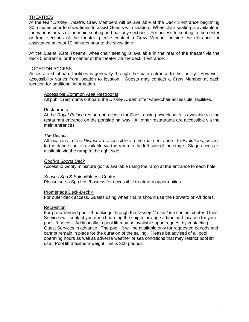# THEATRES

At the *Walt Disney Theatre*, Crew Members will be available at the Deck 3 entrance beginning 30 minutes prior to show times to assist Guests with seating. Wheelchair seating is available in the various areas of the main seating and balcony sections. For access to seating in the center or front sections of the theater, please contact a Crew Member outside the entrance for assistance at least 10 minutes prior to the show time.

At the *Buena Vista Theatre*, wheelchair seating is available in the rear of the theater via the deck 5 entrance, or the center of the theater via the deck 4 entrance.

# LOCATION ACCESS

Access to shipboard facilities is generally through the main entrance to the facility. However, accessibility varies from location to location. Guests may contact a Crew Member at each location for additional information.

#### Accessible Common Area Restrooms

All public restrooms onboard the *Disney Dream* offer wheelchair accessible facilities.

#### **Restaurants**

At the *Royal Palace* restaurant, access for Guests using wheelchairs is available via the restaurant entrance on the portside hallway. All other restaurants are accessible via the main entrances.

#### *The District*

All locations in *The District* are accessible via the main entrance. In *Evolutions*, access to the dance floor is available via the ramp to the left side of the stage. Stage access is available via the ramp to the right side.

#### *Goofy's Sports Deck*

Access to Goofy miniature golf is available using the ramp at the entrance to each hole.

#### *Senses Spa & Salon*/Fitness Center -

Please see a Spa host/hostess for accessible treatment opportunities.

# Promenade Deck-Deck 4

For outer deck access, Guests using wheelchairs should use the Forward or Aft doors.

# **Recreation**

For pre-arranged pool lift bookings through the *Disney Cruise Line* contact center, Guest Services will contact you upon boarding the ship to arrange a time and location for your pool lift needs. Additionally, a pool lift may be available upon request by contacting Guest Services in advance. The pool lift will be available only for requested periods and cannot remain in place for the duration of the sailing. Please be advised of all pool operating hours as well as adverse weather or sea conditions that may restrict pool lift use. Pool lift maximum weight limit is 300 pounds.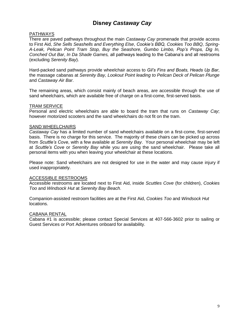# **Disney** *Castaway Cay*

# PATHWAYS

There are paved pathways throughout the main *Castaway Cay* promenade that provide access to First Aid, *She Sells Seashells and Everything Else*, *Cookie's BBQ, Cookies Too BBQ, Spring-A-Leak, Pelican Point Tram Stop, Buy the Seashore, Gumbo Limbo, Pop's Props, Dig In, Conched Out Bar*, *In Da Shade Games,* all pathways leading to the Cabana's and all restrooms (excluding *Serenity Bay*).

Hard-packed sand pathways provide wheelchair access to *Gil's Fins and Boats, Heads Up Bar*, the massage cabanas at *Serenity Bay, Lookout Point leading to Pelican Deck of Pelican Plunge* and *Castaway Air Bar*.

The remaining areas, which consist mainly of beach areas, are accessible through the use of sand wheelchairs, which are available free of charge on a first-come, first-served basis.

# TRAM SERVICE

Personal and electric wheelchairs are able to board the tram that runs on *Castaway Cay*; however motorized scooters and the sand wheelchairs do not fit on the tram.

# **SAND WHEELCHAIRS**

*Castaway Cay* has a limited number of sand wheelchairs available on a first-come, first-served basis. There is no charge for this service. The majority of these chairs can be picked up across from *Scuttle's Cove*, with a few available at *Serenity Bay*. Your personal wheelchair may be left at *Scuttle's Cove* or *Serenity Bay* while you are using the sand wheelchair. Please take all personal items with you when leaving your wheelchair at these locations.

Please note: Sand wheelchairs are not designed for use in the water and may cause injury if used inappropriately.

# ACCESSIBLE RESTROOMS

Accessible restrooms are located next to First Aid, inside *Scuttles Cove* (for children), *Cookies Too* and *Windsock Hut* at *Serenity Bay Beach*.

Companion-assisted restroom facilities are at the First Aid, *Cookies Too* and *Windsock Hut* locations.

# CABANA RENTAL

Cabana #1 is accessible; please contact Special Services at 407-566-3602 prior to sailing or Guest Services or Port Adventures onboard for availability.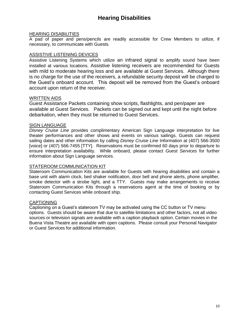# **Hearing Disabilities**

# HEARING DISABILITIES

A pad of paper and pens/pencils are readily accessible for Crew Members to utilize, if necessary, to communicate with Guests.

# ASSISTIVE LISTENING DEVICES

Assistive Listening Systems which utilize an infrared signal to amplify sound have been installed at various locations. Assistive listening receivers are recommended for Guests with mild to moderate hearing loss and are available at Guest Services. Although there is no charge for the use of the receivers, a refundable security deposit will be charged to the Guest's onboard account. This deposit will be removed from the Guest's onboard account upon return of the receiver.

# WRITTEN AIDS

Guest Assistance Packets containing show scripts, flashlights, and pen/paper are available at Guest Services. Packets can be signed out and kept until the night before debarkation, when they must be returned to Guest Services.

# SIGN LANGUAGE

*Disney Cruise Line* provides complimentary American Sign Language interpretation for live theater performances and other shows and events on various sailings. Guests can request sailing dates and other information by calling *Disney Cruise Line* Information at (407) 566-3500 [voice] or (407) 566-7455 [TTY]. Reservations must be confirmed 60 days prior to departure to ensure interpretation availability. While onboard, please contact *Guest Services* for further information about Sign Language services.

# STATEROOM COMMUNICATION KIT

Stateroom Communication Kits are available for Guests with hearing disabilities and contain a base unit with alarm clock, bed shaker notification, door bell and phone alerts, phone amplifier, smoke detector with a strobe light, and a TTY. Guests may make arrangements to receive Stateroom Communication Kits through a reservations agent at the time of booking or by contacting Guest Services while onboard ship.

# **CAPTIONING**

Captioning on a Guest's stateroom TV may be activated using the CC button or TV menu options. Guests should be aware that due to satellite limitations and other factors, not all video sources or television signals are available with a caption playback option. Certain movies in the Buena Vista Theatre are available with open captions. Please consult your Personal Navigator or Guest Services for additional information.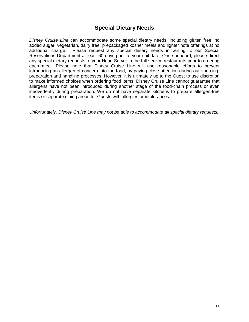# **Special Dietary Needs**

*Disney Cruise Line* can accommodate some special dietary needs, including gluten free, no added sugar, vegetarian, dairy free, prepackaged kosher meals and lighter note offerings at no additional charge. Please request any special dietary needs in writing to our Special Reservations Department at least 60 days prior to your sail date. Once onboard, please direct any special dietary requests to your Head Server in the full service restaurants prior to ordering each meal. Please note that Disney Cruise Line will use reasonable efforts to prevent introducing an allergen of concern into the food, by paying close attention during our sourcing, preparation and handling processes. However, it is ultimately up to the Guest to use discretion to make informed choices when ordering food items. Disney Cruise Line cannot guarantee that allergens have not been introduced during another stage of the food-chain process or even inadvertently during preparation. We do not have separate kitchens to prepare allergen-free items or separate dining areas for Guests with allergies or intolerances.

*Unfortunately, Disney Cruise Line may not be able to accommodate all special dietary requests.*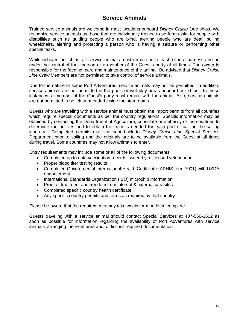# **Service Animals**

Trained service animals are welcome in most locations onboard *Disney Cruise Line* ships. We recognize service animals as those that are individually trained to perform tasks for people with disabilities such as guiding people who are blind, alerting people who are deaf, pulling wheelchairs, alerting and protecting a person who is having a seizure or performing other special tasks.

While onboard our ships, all service animals must remain on a leash or in a harness and be under the control of their person or a member of the Guest's party at all times. The owner is responsible for the feeding, care and maintenance of the animal. Be advised that *Disney Cruise Line Crew* Members are not permitted to take control of service animals.

Due to the nature of some Port Adventures, service animals may not be permitted. In addition, service animals are not permitted in the pools or wet play areas onboard our ships. In those instances, a member of the Guest's party must remain with the animal. Also, service animals are not permitted to be left unattended inside the staterooms.

Guests who are traveling with a service animal must obtain the import permits from all countries which require special documents as per the country regulations. Specific information may be obtained by contacting the Department of Agriculture, consulate or embassy of the countries to determine the policies and to obtain the permits needed for each port of call on the sailing itinerary. Completed permits must be sent back to *Disney Cruise Line* Special Services Department prior to sailing and the originals are to be available from the Guest at all times during travel. Some countries may not allow animals to enter.

Entry requirements may include some or all of the following documents:

- Completed up to date vaccination records issued by a licensed veterinarian
- Proper blood titer testing results
- Completed Governmental International Health Certificate (APHIS form 7001) with USDA endorsement
- International Standards Organization (ISO) microchip information
- Proof of treatment and freedom from internal & external parasites
- Completed specific country health certificate
- Any specific country permits and forms as required by that country

Please be aware that the requirements may take weeks or months to complete.

Guests traveling with a service animal should contact Special Services at 407-566-3602 as soon as possible for information regarding the availability of Port Adventures with service animals, arranging the relief area and to discuss required documentation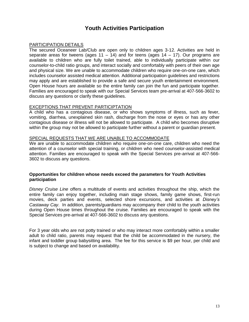# **Youth Activities Participation**

# PARTICIPATION DETAILS

The secured Oceaneer Lab/Club are open only to children ages 3-12. Activities are held in separate areas for tweens (ages  $11 - 14$ ) and for teens (ages  $14 - 17$ ). Our programs are available to children who are fully toilet trained, able to individually participate within our counselor-to-child ratio groups, and interact socially and comfortably with peers of their own age and physical size. We are unable to accommodate children who require one-on-one care, which includes counselor assisted medical attention. Additional participation guidelines and restrictions may apply and are established to provide a safe and secure youth entertainment environment. Open House hours are available so the entire family can join the fun and participate together. Families are encouraged to speak with our Special Services team pre-arrival at 407-566-3602 to discuss any questions or clarify these guidelines.

# EXCEPTIONS THAT PREVENT PARTICIPTATION

A child who has a contagious disease, or who shows symptoms of illness, such as fever, vomiting, diarrhea, unexplained skin rash, discharge from the nose or eyes or has any other contagious disease or illness will not be allowed to participate. A child who becomes disruptive within the group may not be allowed to participate further without a parent or guardian present.

# SPECIAL REQUESTS THAT WE ARE UNABLE TO ACCOMMODATE

We are unable to accommodate children who require one-on-one care, children who need the attention of a counselor with special training, or children who need counselor-assisted medical attention. Families are encouraged to speak with the Special Services pre-arrival at 407-566- 3602 to discuss any questions.

# **Opportunities for children whose needs exceed the parameters for Youth Activities participation**

*Disney Cruise Line* offers a multitude of events and activities throughout the ship, which the entire family can enjoy together, including main stage shows, family game shows, first-run movies, deck parties and events, selected shore excursions, and activities at *Disney's Castaway Cay*. In addition, parents/guardians may accompany their child to the youth activities during Open House times throughout the cruise. Families are encouraged to speak with the Special Services pre-arrival at 407-566-3602 to discuss any questions.

For 3 year olds who are not potty trained or who may interact more comfortably within a smaller adult to child ratio, parents may request that the child be accommodated in the nursery, the infant and toddler group babysitting area. The fee for this service is \$9 per hour, per child and is subject to change and based on availability.